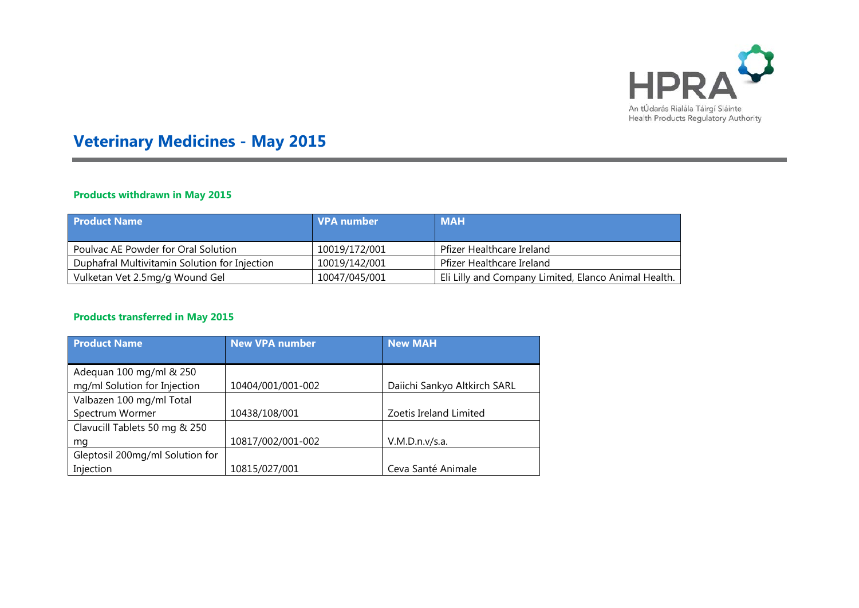

# **Veterinary Medicines - May 2015**

### **Products withdrawn in May 2015**

| <b>Product Name</b>                           | VPA number    | <b>MAH</b>                                           |
|-----------------------------------------------|---------------|------------------------------------------------------|
| Poulvac AE Powder for Oral Solution           | 10019/172/001 | Pfizer Healthcare Ireland                            |
| Duphafral Multivitamin Solution for Injection | 10019/142/001 | Pfizer Healthcare Ireland                            |
| Vulketan Vet 2.5mg/g Wound Gel                | 10047/045/001 | Eli Lilly and Company Limited, Elanco Animal Health. |

#### **Products transferred in May 2015**

| <b>Product Name</b>             | <b>New VPA number</b> | <b>New MAH</b>               |
|---------------------------------|-----------------------|------------------------------|
|                                 |                       |                              |
| Adequan 100 mg/ml & 250         |                       |                              |
| mg/ml Solution for Injection    | 10404/001/001-002     | Daiichi Sankyo Altkirch SARL |
| Valbazen 100 mg/ml Total        |                       |                              |
| Spectrum Wormer                 | 10438/108/001         | Zoetis Ireland Limited       |
| Clavucill Tablets 50 mg & 250   |                       |                              |
| mg                              | 10817/002/001-002     | V.M.D.n.v/s.a.               |
| Gleptosil 200mg/ml Solution for |                       |                              |
| Injection                       | 10815/027/001         | Ceva Santé Animale           |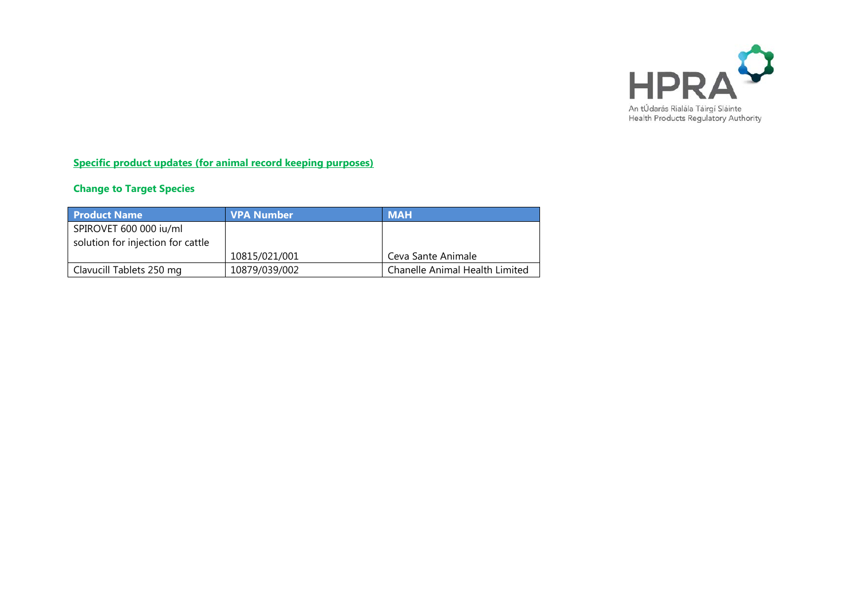

**Specific product updates (for animal record keeping purposes)**

## **Change to Target Species**

| <b>Product Name</b>               | <b>VPA Number</b> | <b>MAH</b>                     |
|-----------------------------------|-------------------|--------------------------------|
| SPIROVET 600 000 iu/ml            |                   |                                |
| solution for injection for cattle |                   |                                |
|                                   | 10815/021/001     | Ceva Sante Animale             |
| Clavucill Tablets 250 mg          | 10879/039/002     | Chanelle Animal Health Limited |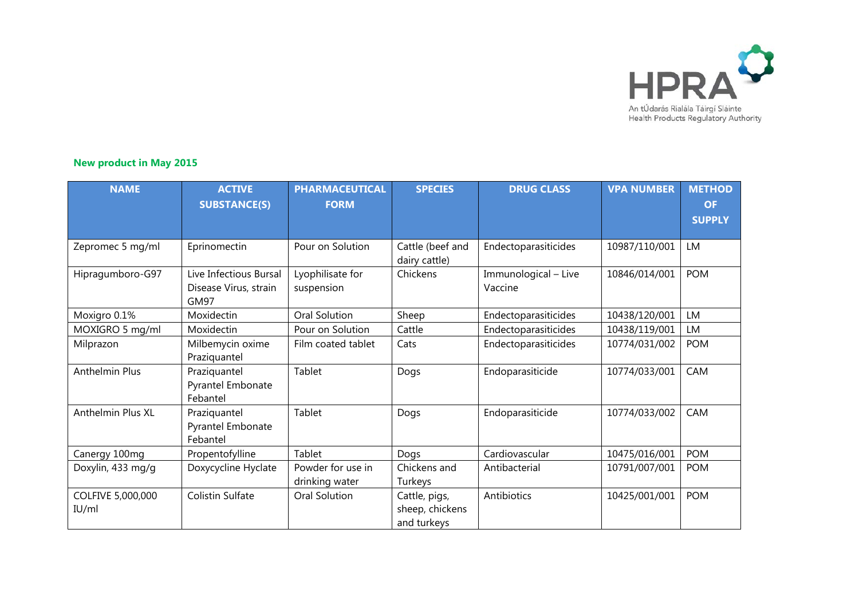

#### **New product in May 2015**

| <b>NAME</b>                | <b>ACTIVE</b><br><b>SUBSTANCE(S)</b>                    | <b>PHARMACEUTICAL</b><br><b>FORM</b> | <b>SPECIES</b>                                  | <b>DRUG CLASS</b>               | <b>VPA NUMBER</b> | <b>METHOD</b><br><b>OF</b><br><b>SUPPLY</b> |
|----------------------------|---------------------------------------------------------|--------------------------------------|-------------------------------------------------|---------------------------------|-------------------|---------------------------------------------|
| Zepromec 5 mg/ml           | Eprinomectin                                            | Pour on Solution                     | Cattle (beef and<br>dairy cattle)               | Endectoparasiticides            | 10987/110/001     | <b>LM</b>                                   |
| Hipragumboro-G97           | Live Infectious Bursal<br>Disease Virus, strain<br>GM97 | Lyophilisate for<br>suspension       | Chickens                                        | Immunological - Live<br>Vaccine | 10846/014/001     | <b>POM</b>                                  |
| Moxigro 0.1%               | Moxidectin                                              | Oral Solution                        | Sheep                                           | Endectoparasiticides            | 10438/120/001     | LM                                          |
| MOXIGRO 5 mg/ml            | Moxidectin                                              | Pour on Solution                     | Cattle                                          | Endectoparasiticides            | 10438/119/001     | LM                                          |
| Milprazon                  | Milbemycin oxime<br>Praziquantel                        | Film coated tablet                   | Cats                                            | Endectoparasiticides            | 10774/031/002     | <b>POM</b>                                  |
| Anthelmin Plus             | Praziquantel<br>Pyrantel Embonate<br>Febantel           | Tablet                               | Dogs                                            | Endoparasiticide                | 10774/033/001     | CAM                                         |
| Anthelmin Plus XL          | Praziquantel<br>Pyrantel Embonate<br>Febantel           | Tablet                               | Dogs                                            | Endoparasiticide                | 10774/033/002     | CAM                                         |
| Canergy 100mg              | Propentofylline                                         | Tablet                               | Dogs                                            | Cardiovascular                  | 10475/016/001     | <b>POM</b>                                  |
| Doxylin, 433 mg/g          | Doxycycline Hyclate                                     | Powder for use in<br>drinking water  | Chickens and<br>Turkeys                         | Antibacterial                   | 10791/007/001     | <b>POM</b>                                  |
| COLFIVE 5,000,000<br>IU/ml | <b>Colistin Sulfate</b>                                 | Oral Solution                        | Cattle, pigs,<br>sheep, chickens<br>and turkeys | Antibiotics                     | 10425/001/001     | <b>POM</b>                                  |